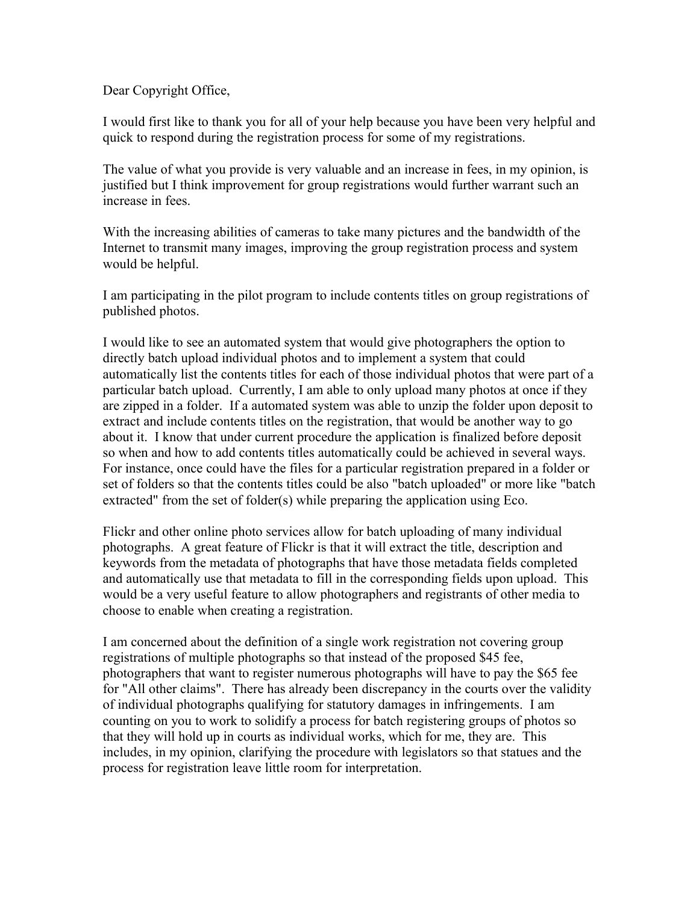Dear Copyright Office,

I would first like to thank you for all of your help because you have been very helpful and quick to respond during the registration process for some of my registrations.

The value of what you provide is very valuable and an increase in fees, in my opinion, is justified but I think improvement for group registrations would further warrant such an increase in fees.

With the increasing abilities of cameras to take many pictures and the bandwidth of the Internet to transmit many images, improving the group registration process and system would be helpful.

I am participating in the pilot program to include contents titles on group registrations of published photos.

I would like to see an automated system that would give photographers the option to directly batch upload individual photos and to implement a system that could automatically list the contents titles for each of those individual photos that were part of a particular batch upload. Currently, I am able to only upload many photos at once if they are zipped in a folder. If a automated system was able to unzip the folder upon deposit to extract and include contents titles on the registration, that would be another way to go about it. I know that under current procedure the application is finalized before deposit so when and how to add contents titles automatically could be achieved in several ways. For instance, once could have the files for a particular registration prepared in a folder or set of folders so that the contents titles could be also "batch uploaded" or more like "batch extracted" from the set of folder(s) while preparing the application using Eco.

Flickr and other online photo services allow for batch uploading of many individual photographs. A great feature of Flickr is that it will extract the title, description and keywords from the metadata of photographs that have those metadata fields completed and automatically use that metadata to fill in the corresponding fields upon upload. This would be a very useful feature to allow photographers and registrants of other media to choose to enable when creating a registration.

I am concerned about the definition of a single work registration not covering group registrations of multiple photographs so that instead of the proposed \$45 fee, photographers that want to register numerous photographs will have to pay the \$65 fee for "All other claims". There has already been discrepancy in the courts over the validity of individual photographs qualifying for statutory damages in infringements. I am counting on you to work to solidify a process for batch registering groups of photos so that they will hold up in courts as individual works, which for me, they are. This includes, in my opinion, clarifying the procedure with legislators so that statues and the process for registration leave little room for interpretation.